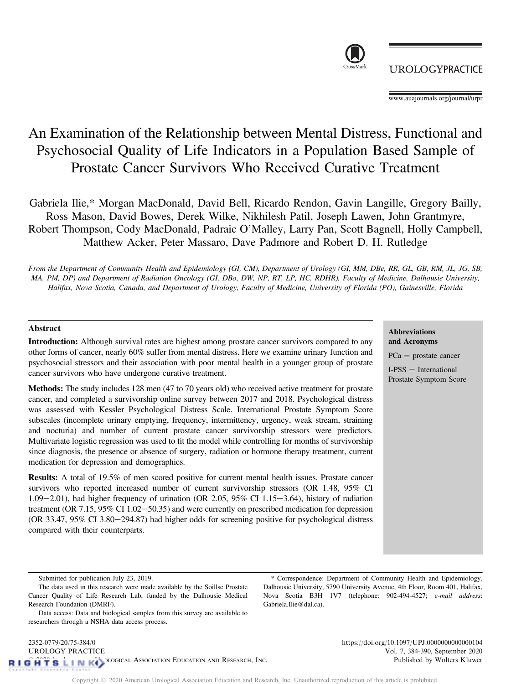

\* Correspondence: Department of Community Health and Epidemiology, Dalhousie University, 5790 University Avenue, 4th Floor, Room 401, Halifax, Nova Scotia B3H 1V7 (telephone: 902-494-4527; e-mail address:

Gabriela.Ilie@dal.ca).

# An Examination of the Relationship between Mental Distress, Functional and Psychosocial Quality of Life Indicators in a Population Based Sample of Prostate Cancer Survivors Who Received Curative Treatment

Gabriela Ilie,\* Morgan MacDonald, David Bell, Ricardo Rendon, Gavin Langille, Gregory Bailly, Ross Mason, David Bowes, Derek Wilke, Nikhilesh Patil, Joseph Lawen, John Grantmyre, Robert Thompson, Cody MacDonald, Padraic O'Malley, Larry Pan, Scott Bagnell, Holly Campbell, Matthew Acker, Peter Massaro, Dave Padmore and Robert D. H. Rutledge

From the Department of Community Health and Epidemiology (GI, CM), Department of Urology (GI, MM, DBe, RR, GL, GB, RM, JL, JG, SB, MA, PM, DP) and Department of Radiation Oncology (GI, DBo, DW, NP, RT, LP, HC, RDHR), Faculty of Medicine, Dalhousie University, Halifax, Nova Scotia, Canada, and Department of Urology, Faculty of Medicine, University of Florida (PO), Gainesville, Florida

# Abstract

Introduction: Although survival rates are highest among prostate cancer survivors compared to any other forms of cancer, nearly 60% suffer from mental distress. Here we examine urinary function and psychosocial stressors and their association with poor mental health in a younger group of prostate cancer survivors who have undergone curative treatment.

Methods: The study includes 128 men (47 to 70 years old) who received active treatment for prostate cancer, and completed a survivorship online survey between 2017 and 2018. Psychological distress was assessed with Kessler Psychological Distress Scale. International Prostate Symptom Score subscales (incomplete urinary emptying, frequency, intermittency, urgency, weak stream, straining and nocturia) and number of current prostate cancer survivorship stressors were predictors. Multivariate logistic regression was used to fit the model while controlling for months of survivorship since diagnosis, the presence or absence of surgery, radiation or hormone therapy treatment, current medication for depression and demographics.

Results: A total of 19.5% of men scored positive for current mental health issues. Prostate cancer survivors who reported increased number of current survivorship stressors (OR 1.48, 95% CI 1.09 $-2.01$ ), had higher frequency of urination (OR 2.05, 95% CI 1.15 $-3.64$ ), history of radiation treatment (OR  $7.15$ ,  $95\%$  CI  $1.02-50.35$ ) and were currently on prescribed medication for depression (OR 33.47, 95% CI 3.80-294.87) had higher odds for screening positive for psychological distress compared with their counterparts.

## Abbreviations and Acronyms

 $PCa =$  prostate cancer

 $I-PSS = International$ Prostate Symptom Score

Submitted for publication July 23, 2019.

[www.auajournals.org/journal/urpr](http://www.auajournals.org/journal/urpr)

The data used in this research were made available by the Soillse Prostate Cancer Quality of Life Research Lab, funded by the Dalhousie Medical Research Foundation (DMRF).

Data access: Data and biological samples from this survey are available to researchers through a NSHA data access process.

**UROLOGYPRACTICE**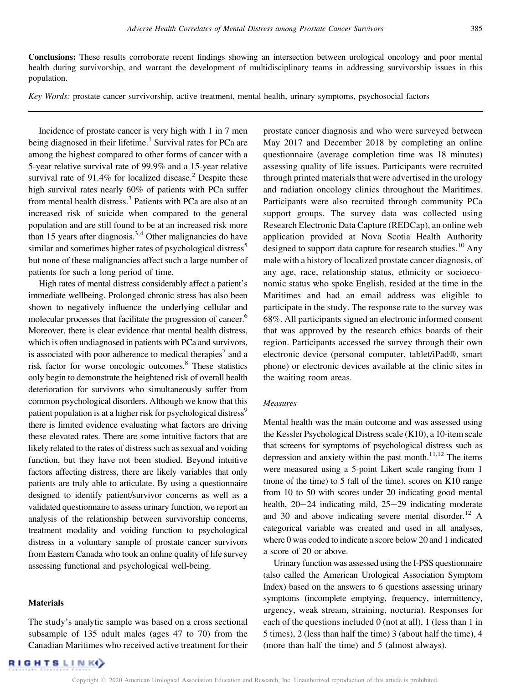Conclusions: These results corroborate recent findings showing an intersection between urological oncology and poor mental health during survivorship, and warrant the development of multidisciplinary teams in addressing survivorship issues in this population.

Key Words: prostate cancer survivorship, active treatment, mental health, urinary symptoms, psychosocial factors

Incidence of prostate cancer is very high with 1 in 7 men being diagnosed in their lifetime.<sup>[1](#page-4-0)</sup> Survival rates for PCa are among the highest compared to other forms of cancer with a 5-year relative survival rate of 99.9% and a 15-year relative survival rate of 91.4% for localized disease.<sup>[2](#page-4-0)</sup> Despite these high survival rates nearly 60% of patients with PCa suffer from mental health distress.<sup>3</sup> Patients with PCa are also at an increased risk of suicide when compared to the general population and are still found to be at an increased risk more than 15 years after diagnosis.<sup>3,4</sup> Other malignancies do have similar and sometimes higher rates of psychological distress<sup>[5](#page-5-0)</sup> but none of these malignancies affect such a large number of patients for such a long period of time.

High rates of mental distress considerably affect a patient's immediate wellbeing. Prolonged chronic stress has also been shown to negatively influence the underlying cellular and molecular processes that facilitate the progression of cancer.<sup>[6](#page-5-0)</sup> Moreover, there is clear evidence that mental health distress, which is often undiagnosed in patients with PCa and survivors, is associated with poor adherence to medical therapies<sup>[7](#page-5-0)</sup> and a risk factor for worse oncologic outcomes.<sup>[8](#page-5-0)</sup> These statistics only begin to demonstrate the heightened risk of overall health deterioration for survivors who simultaneously suffer from common psychological disorders. Although we know that this patient population is at a higher risk for psychological distress<sup>[9](#page-5-0)</sup> there is limited evidence evaluating what factors are driving these elevated rates. There are some intuitive factors that are likely related to the rates of distress such as sexual and voiding function, but they have not been studied. Beyond intuitive factors affecting distress, there are likely variables that only patients are truly able to articulate. By using a questionnaire designed to identify patient/survivor concerns as well as a validated questionnaire to assess urinary function, we report an analysis of the relationship between survivorship concerns, treatment modality and voiding function to psychological distress in a voluntary sample of prostate cancer survivors from Eastern Canada who took an online quality of life survey assessing functional and psychological well-being.

#### Materials

The study's analytic sample was based on a cross sectional subsample of 135 adult males (ages 47 to 70) from the Canadian Maritimes who received active treatment for their

prostate cancer diagnosis and who were surveyed between May 2017 and December 2018 by completing an online questionnaire (average completion time was 18 minutes) assessing quality of life issues. Participants were recruited through printed materials that were advertised in the urology and radiation oncology clinics throughout the Maritimes. Participants were also recruited through community PCa support groups. The survey data was collected using Research Electronic Data Capture (REDCap), an online web application provided at Nova Scotia Health Authority designed to support data capture for research studies.<sup>[10](#page-5-0)</sup> Any male with a history of localized prostate cancer diagnosis, of any age, race, relationship status, ethnicity or socioeconomic status who spoke English, resided at the time in the Maritimes and had an email address was eligible to participate in the study. The response rate to the survey was 68%. All participants signed an electronic informed consent that was approved by the research ethics boards of their region. Participants accessed the survey through their own electronic device (personal computer, tablet/iPad®, smart phone) or electronic devices available at the clinic sites in the waiting room areas.

## Measures

Mental health was the main outcome and was assessed using the Kessler Psychological Distress scale (K10), a 10-item scale that screens for symptoms of psychological distress such as depression and anxiety within the past month.<sup>11,12</sup> The items were measured using a 5-point Likert scale ranging from 1 (none of the time) to 5 (all of the time). scores on K10 range from 10 to 50 with scores under 20 indicating good mental health,  $20-24$  indicating mild,  $25-29$  indicating moderate and 30 and above indicating severe mental disorder.<sup>12</sup> A categorical variable was created and used in all analyses, where 0 was coded to indicate a score below 20 and 1 indicated a score of 20 or above.

Urinary function was assessed using the I-PSS questionnaire (also called the American Urological Association Symptom Index) based on the answers to 6 questions assessing urinary symptoms (incomplete emptying, frequency, intermittency, urgency, weak stream, straining, nocturia). Responses for each of the questions included 0 (not at all), 1 (less than 1 in 5 times), 2 (less than half the time) 3 (about half the time), 4 (more than half the time) and 5 (almost always).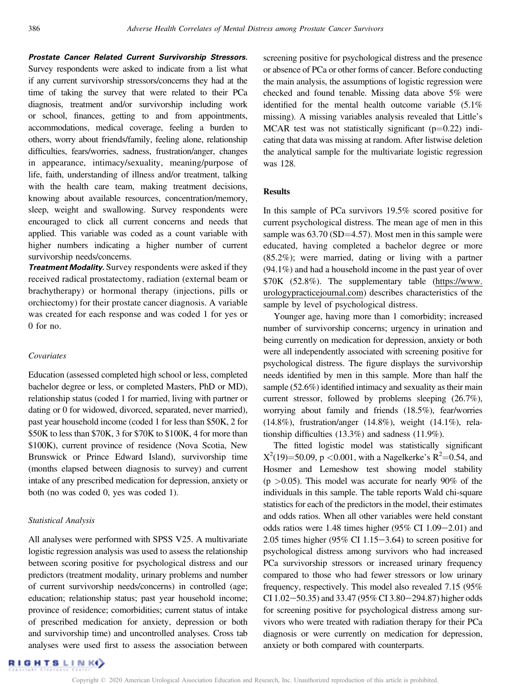Prostate Cancer Related Current Survivorship Stressors.

Survey respondents were asked to indicate from a list what if any current survivorship stressors/concerns they had at the time of taking the survey that were related to their PCa diagnosis, treatment and/or survivorship including work or school, finances, getting to and from appointments, accommodations, medical coverage, feeling a burden to others, worry about friends/family, feeling alone, relationship difficulties, fears/worries, sadness, frustration/anger, changes in appearance, intimacy/sexuality, meaning/purpose of life, faith, understanding of illness and/or treatment, talking with the health care team, making treatment decisions, knowing about available resources, concentration/memory, sleep, weight and swallowing. Survey respondents were encouraged to click all current concerns and needs that applied. This variable was coded as a count variable with higher numbers indicating a higher number of current survivorship needs/concerns.

Treatment Modality. Survey respondents were asked if they received radical prostatectomy, radiation (external beam or brachytherapy) or hormonal therapy (injections, pills or orchiectomy) for their prostate cancer diagnosis. A variable was created for each response and was coded 1 for yes or  $0$  for no.

### Covariates

Education (assessed completed high school or less, completed bachelor degree or less, or completed Masters, PhD or MD), relationship status (coded 1 for married, living with partner or dating or 0 for widowed, divorced, separated, never married), past year household income (coded 1 for less than \$50K, 2 for \$50K to less than \$70K, 3 for \$70K to \$100K, 4 for more than \$100K), current province of residence (Nova Scotia, New Brunswick or Prince Edward Island), survivorship time (months elapsed between diagnosis to survey) and current intake of any prescribed medication for depression, anxiety or both (no was coded 0, yes was coded 1).

#### Statistical Analysis

All analyses were performed with SPSS V25. A multivariate logistic regression analysis was used to assess the relationship between scoring positive for psychological distress and our predictors (treatment modality, urinary problems and number of current survivorship needs/concerns) in controlled (age; education; relationship status; past year household income; province of residence; comorbidities; current status of intake of prescribed medication for anxiety, depression or both and survivorship time) and uncontrolled analyses. Cross tab analyses were used first to assess the association between screening positive for psychological distress and the presence or absence of PCa or other forms of cancer. Before conducting the main analysis, the assumptions of logistic regression were checked and found tenable. Missing data above 5% were identified for the mental health outcome variable (5.1% missing). A missing variables analysis revealed that Little's MCAR test was not statistically significant ( $p=0.22$ ) indicating that data was missing at random. After listwise deletion the analytical sample for the multivariate logistic regression was 128.

#### **Results**

In this sample of PCa survivors 19.5% scored positive for current psychological distress. The mean age of men in this sample was  $63.70$  (SD=4.57). Most men in this sample were educated, having completed a bachelor degree or more (85.2%); were married, dating or living with a partner (94.1%) and had a household income in the past year of over \$70K (52.8%). The supplementary table ([https://www.](https://www.urologypracticejournal.com) [urologypracticejournal.com](https://www.urologypracticejournal.com)) describes characteristics of the sample by level of psychological distress.

Younger age, having more than 1 comorbidity; increased number of survivorship concerns; urgency in urination and being currently on medication for depression, anxiety or both were all independently associated with screening positive for psychological distress. The fi[gure](#page-3-0) displays the survivorship needs identified by men in this sample. More than half the sample (52.6%) identified intimacy and sexuality as their main current stressor, followed by problems sleeping (26.7%), worrying about family and friends (18.5%), fear/worries (14.8%), frustration/anger (14.8%), weight (14.1%), relationship difficulties (13.3%) and sadness (11.9%).

The fitted logistic model was statistically significant  $X^2(19)=50.09$ , p <0.001, with a Nagelkerke's  $R^2=0.54$ , and Hosmer and Lemeshow test showing model stability  $(p > 0.05)$ . This model was accurate for nearly 90% of the individuals in this sample. The table reports Wald chi-square statistics for each of the predictors in the model, their estimates and odds ratios. When all other variables were held constant odds ratios were 1.48 times higher  $(95\% \text{ CI } 1.09-2.01)$  and 2.05 times higher (95% CI 1.15 $-3.64$ ) to screen positive for psychological distress among survivors who had increased PCa survivorship stressors or increased urinary frequency compared to those who had fewer stressors or low urinary frequency, respectively. This model also revealed 7.15 (95% CI 1.02-50.35) and 33.47 (95% CI 3.80-294.87) higher odds for screening positive for psychological distress among survivors who were treated with radiation therapy for their PCa diagnosis or were currently on medication for depression, anxiety or both compared with counterparts.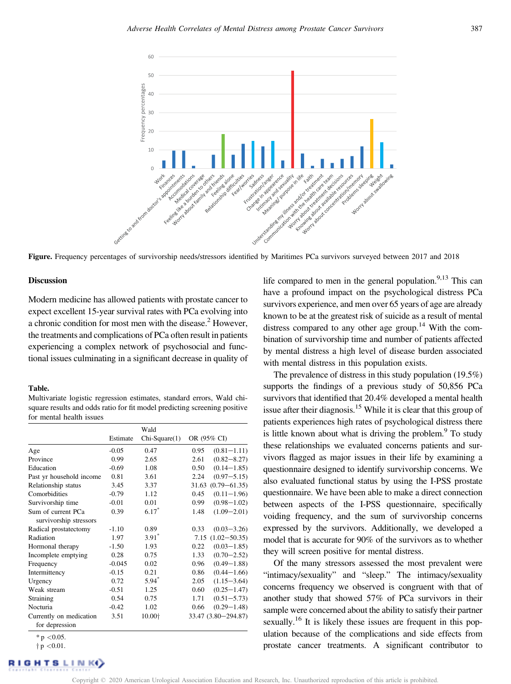<span id="page-3-0"></span>

Figure. Frequency percentages of survivorship needs/stressors identified by Maritimes PCa survivors surveyed between 2017 and 2018

# Discussion

Modern medicine has allowed patients with prostate cancer to expect excellent 15-year survival rates with PCa evolving into a chronic condition for most men with the disease.<sup>2</sup> However, the treatments and complications of PCa often result in patients experiencing a complex network of psychosocial and functional issues culminating in a significant decrease in quality of

#### Table.

Multivariate logistic regression estimates, standard errors, Wald chisquare results and odds ratio for fit model predicting screening positive for mental health issues

|                                           | Wald     |               |                          |
|-------------------------------------------|----------|---------------|--------------------------|
|                                           | Estimate | Chi-Square(1) | OR (95% CI)              |
| Age                                       | $-0.05$  | 0.47          | 0.95<br>$(0.81 - 1.11)$  |
| Province                                  | 0.99     | 2.65          | 2.61<br>$(0.82 - 8.27)$  |
| Education                                 | $-0.69$  | 1.08          | $(0.14 - 1.85)$<br>0.50  |
| Past yr household income                  | 0.81     | 3.61          | 2.24<br>$(0.97 - 5.15)$  |
| Relationship status                       | 3.45     | 3.37          | $31.63$ $(0.79 - 61.35)$ |
| Comorbidities                             | $-0.79$  | 1.12          | 0.45<br>$(0.11 - 1.96)$  |
| Survivorship time                         | $-0.01$  | 0.01          | $(0.98 - 1.02)$<br>0.99  |
| Sum of current PCa                        | 0.39     | $6.17*$       | 1.48<br>$(1.09 - 2.01)$  |
| survivorship stressors                    |          |               |                          |
| Radical prostatectomy                     | $-1.10$  | 0.89          | 0.33<br>$(0.03 - 3.26)$  |
| Radiation                                 | 1.97     | $3.91*$       | $7.15(1.02 - 50.35)$     |
| Hormonal therapy                          | $-1.50$  | 1.93          | 0.22<br>$(0.03 - 1.85)$  |
| Incomplete emptying                       | 0.28     | 0.75          | $(0.70 - 2.52)$<br>1.33  |
| Frequency                                 | $-0.045$ | 0.02          | 0.96<br>$(0.49 - 1.88)$  |
| Intermittency                             | $-0.15$  | 0.21          | 0.86<br>$(0.44 - 1.66)$  |
| Urgency                                   | 0.72     | $5.94*$       | 2.05<br>$(1.15 - 3.64)$  |
| Weak stream                               | $-0.51$  | 1.25          | $(0.25 - 1.47)$<br>0.60  |
| Straining                                 | 0.54     | 0.75          | $(0.51 - 5.73)$<br>1.71  |
| Nocturia                                  | $-0.42$  | 1.02          | $(0.29 - 1.48)$<br>0.66  |
| Currently on medication<br>for depression | 3.51     | 10.00+        | 33.47 (3.80-294.87)      |
| * $p$ < 0.05.                             |          |               |                          |

 $\dagger$  p <0.01.

life compared to men in the general population. $9,13$  This can have a profound impact on the psychological distress PCa survivors experience, and men over 65 years of age are already known to be at the greatest risk of suicide as a result of mental distress compared to any other age group.<sup>14</sup> With the combination of survivorship time and number of patients affected by mental distress a high level of disease burden associated with mental distress in this population exists.

The prevalence of distress in this study population (19.5%) supports the findings of a previous study of 50,856 PCa survivors that identified that 20.4% developed a mental health issue after their diagnosis.<sup>[15](#page-5-0)</sup> While it is clear that this group of patients experiences high rates of psychological distress there is little known about what is driving the problem. $\degree$  To study these relationships we evaluated concerns patients and survivors flagged as major issues in their life by examining a questionnaire designed to identify survivorship concerns. We also evaluated functional status by using the I-PSS prostate questionnaire. We have been able to make a direct connection between aspects of the I-PSS questionnaire, specifically voiding frequency, and the sum of survivorship concerns expressed by the survivors. Additionally, we developed a model that is accurate for 90% of the survivors as to whether they will screen positive for mental distress.

Of the many stressors assessed the most prevalent were "intimacy/sexuality" and "sleep." The intimacy/sexuality concerns frequency we observed is congruent with that of another study that showed 57% of PCa survivors in their sample were concerned about the ability to satisfy their partner sexually.<sup>[16](#page-5-0)</sup> It is likely these issues are frequent in this population because of the complications and side effects from prostate cancer treatments. A significant contributor to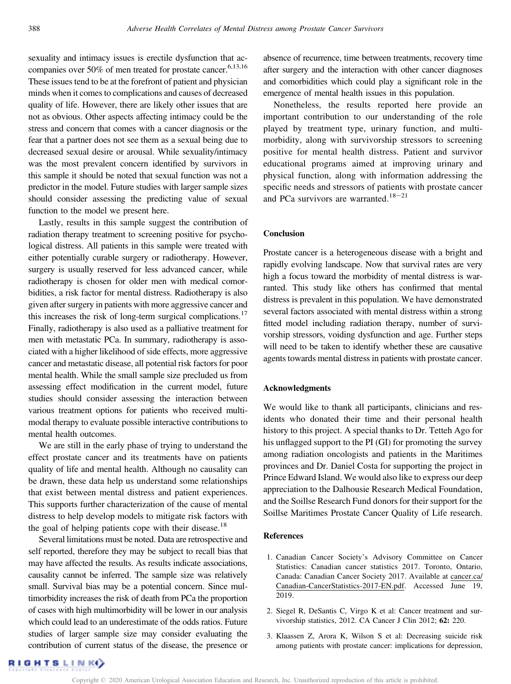<span id="page-4-0"></span>sexuality and intimacy issues is erectile dysfunction that accompanies over  $50\%$  of men treated for prostate cancer.<sup>6,13,16</sup> These issues tend to be at the forefront of patient and physician minds when it comes to complications and causes of decreased quality of life. However, there are likely other issues that are not as obvious. Other aspects affecting intimacy could be the stress and concern that comes with a cancer diagnosis or the fear that a partner does not see them as a sexual being due to decreased sexual desire or arousal. While sexuality/intimacy was the most prevalent concern identified by survivors in this sample it should be noted that sexual function was not a predictor in the model. Future studies with larger sample sizes should consider assessing the predicting value of sexual function to the model we present here.

Lastly, results in this sample suggest the contribution of radiation therapy treatment to screening positive for psychological distress. All patients in this sample were treated with either potentially curable surgery or radiotherapy. However, surgery is usually reserved for less advanced cancer, while radiotherapy is chosen for older men with medical comorbidities, a risk factor for mental distress. Radiotherapy is also given after surgery in patients with more aggressive cancer and this increases the risk of long-term surgical complications.<sup>[17](#page-5-0)</sup> Finally, radiotherapy is also used as a palliative treatment for men with metastatic PCa. In summary, radiotherapy is associated with a higher likelihood of side effects, more aggressive cancer and metastatic disease, all potential risk factors for poor mental health. While the small sample size precluded us from assessing effect modification in the current model, future studies should consider assessing the interaction between various treatment options for patients who received multimodal therapy to evaluate possible interactive contributions to mental health outcomes.

We are still in the early phase of trying to understand the effect prostate cancer and its treatments have on patients quality of life and mental health. Although no causality can be drawn, these data help us understand some relationships that exist between mental distress and patient experiences. This supports further characterization of the cause of mental distress to help develop models to mitigate risk factors with the goal of helping patients cope with their disease.<sup>[18](#page-5-0)</sup>

Several limitations must be noted. Data are retrospective and self reported, therefore they may be subject to recall bias that may have affected the results. As results indicate associations, causality cannot be inferred. The sample size was relatively small. Survival bias may be a potential concern. Since multimorbidity increases the risk of death from PCa the proportion of cases with high multimorbidity will be lower in our analysis which could lead to an underestimate of the odds ratios. Future studies of larger sample size may consider evaluating the contribution of current status of the disease, the presence or absence of recurrence, time between treatments, recovery time after surgery and the interaction with other cancer diagnoses and comorbidities which could play a significant role in the emergence of mental health issues in this population.

Nonetheless, the results reported here provide an important contribution to our understanding of the role played by treatment type, urinary function, and multimorbidity, along with survivorship stressors to screening positive for mental health distress. Patient and survivor educational programs aimed at improving urinary and physical function, along with information addressing the specific needs and stressors of patients with prostate cancer and PCa survivors are warranted.<sup>18-21</sup>

# Conclusion

Prostate cancer is a heterogeneous disease with a bright and rapidly evolving landscape. Now that survival rates are very high a focus toward the morbidity of mental distress is warranted. This study like others has confirmed that mental distress is prevalent in this population. We have demonstrated several factors associated with mental distress within a strong fitted model including radiation therapy, number of survivorship stressors, voiding dysfunction and age. Further steps will need to be taken to identify whether these are causative agents towards mental distress in patients with prostate cancer.

#### Acknowledgments

We would like to thank all participants, clinicians and residents who donated their time and their personal health history to this project. A special thanks to Dr. Tetteh Ago for his unflagged support to the PI (GI) for promoting the survey among radiation oncologists and patients in the Maritimes provinces and Dr. Daniel Costa for supporting the project in Prince Edward Island. We would also like to express our deep appreciation to the Dalhousie Research Medical Foundation, and the Soillse Research Fund donors for their support for the Soillse Maritimes Prostate Cancer Quality of Life research.

## References

- 1. Canadian Cancer Society's Advisory Committee on Cancer Statistics: Canadian cancer statistics 2017. Toronto, Ontario, Canada: Canadian Cancer Society 2017. Available at [cancer.ca/](http://cancer.ca/Canadian-CancerStatistics-2017-EN.pdf) [Canadian-CancerStatistics-2017-EN.pdf.](http://cancer.ca/Canadian-CancerStatistics-2017-EN.pdf) Accessed June 19, 2019.
- 2. Siegel R, DeSantis C, Virgo K et al: Cancer treatment and survivorship statistics, 2012. CA Cancer J Clin 2012; 62: 220.
- 3. Klaassen Z, Arora K, Wilson S et al: Decreasing suicide risk among patients with prostate cancer: implications for depression,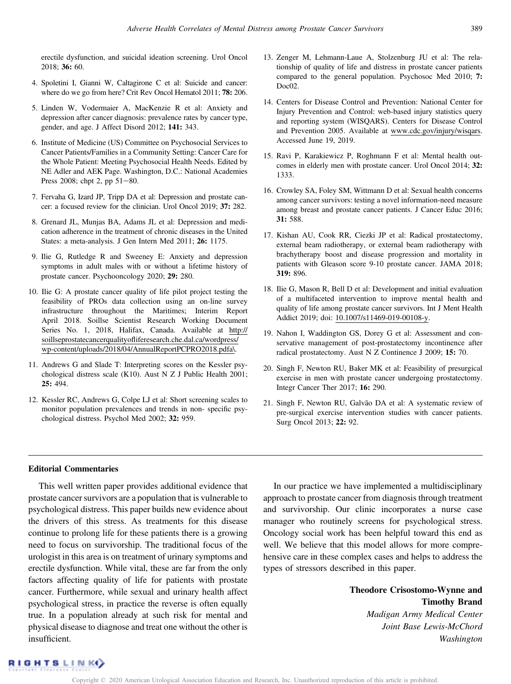<span id="page-5-0"></span>erectile dysfunction, and suicidal ideation screening. Urol Oncol 2018; 36: 60.

- 4. Spoletini I, Gianni W, Caltagirone C et al: Suicide and cancer: where do we go from here? Crit Rev Oncol Hematol 2011; 78: 206.
- 5. Linden W, Vodermaier A, MacKenzie R et al: Anxiety and depression after cancer diagnosis: prevalence rates by cancer type, gender, and age. J Affect Disord 2012; 141: 343.
- 6. Institute of Medicine (US) Committee on Psychosocial Services to Cancer Patients/Families in a Community Setting: Cancer Care for the Whole Patient: Meeting Psychosocial Health Needs. Edited by NE Adler and AEK Page. Washington, D.C.: National Academies Press 2008; chpt 2, pp  $51-80$ .
- 7. Fervaha G, Izard JP, Tripp DA et al: Depression and prostate cancer: a focused review for the clinician. Urol Oncol 2019; 37: 282.
- 8. Grenard JL, Munjas BA, Adams JL et al: Depression and medication adherence in the treatment of chronic diseases in the United States: a meta-analysis. J Gen Intern Med 2011; 26: 1175.
- 9. Ilie G, Rutledge R and Sweeney E: Anxiety and depression symptoms in adult males with or without a lifetime history of prostate cancer. Psychooncology 2020; 29: 280.
- 10. Ilie G: A prostate cancer quality of life pilot project testing the feasibility of PROs data collection using an on-line survey infrastructure throughout the Maritimes; Interim Report April 2018. Soillse Scientist Research Working Document Series No. 1, 2018, Halifax, Canada. Available at [http://](http://soillseprostatecancerqualityofliferesearch.che.dal.ca/wordpress/wp-content/uploads/2018/04/AnnualReportPCPRO2018.pdfa4 ) soillseprostatecancerqualityofl[iferesearch.che.dal.ca/wordpress/](http://soillseprostatecancerqualityofliferesearch.che.dal.ca/wordpress/wp-content/uploads/2018/04/AnnualReportPCPRO2018.pdfa4 ) [wp-content/uploads/2018/04/AnnualReportPCPRO2018.pdfa\.](http://soillseprostatecancerqualityofliferesearch.che.dal.ca/wordpress/wp-content/uploads/2018/04/AnnualReportPCPRO2018.pdfa4 )
- 11. Andrews G and Slade T: Interpreting scores on the Kessler psychological distress scale (K10). Aust N Z J Public Health 2001; 25: 494.
- 12. Kessler RC, Andrews G, Colpe LJ et al: Short screening scales to monitor population prevalences and trends in non- specific psychological distress. Psychol Med 2002; 32: 959.
- 13. Zenger M, Lehmann-Laue A, Stolzenburg JU et al: The relationship of quality of life and distress in prostate cancer patients compared to the general population. Psychosoc Med 2010; 7: Doc<sub>02</sub>.
- 14. Centers for Disease Control and Prevention: National Center for Injury Prevention and Control: web-based injury statistics query and reporting system (WISQARS). Centers for Disease Control and Prevention 2005. Available at [www.cdc.gov/injury/wisqars](http://www.cdc.gov/injury/wisqars). Accessed June 19, 2019.
- 15. Ravi P, Karakiewicz P, Roghmann F et al: Mental health outcomes in elderly men with prostate cancer. Urol Oncol 2014; 32: 1333.
- 16. Crowley SA, Foley SM, Wittmann D et al: Sexual health concerns among cancer survivors: testing a novel information-need measure among breast and prostate cancer patients. J Cancer Educ 2016; 31: 588.
- 17. Kishan AU, Cook RR, Ciezki JP et al: Radical prostatectomy, external beam radiotherapy, or external beam radiotherapy with brachytherapy boost and disease progression and mortality in patients with Gleason score 9-10 prostate cancer. JAMA 2018; 319: 896.
- 18. Ilie G, Mason R, Bell D et al: Development and initial evaluation of a multifaceted intervention to improve mental health and quality of life among prostate cancer survivors. Int J Ment Health Addict 2019; doi: [10.1007/s11469-019-00108-y](http://dx.doi.org/10.1007/s11469-019-00108-y).
- 19. Nahon I, Waddington GS, Dorey G et al: Assessment and conservative management of post-prostatectomy incontinence after radical prostatectomy. Aust N Z Continence J 2009; 15: 70.
- 20. Singh F, Newton RU, Baker MK et al: Feasibility of presurgical exercise in men with prostate cancer undergoing prostatectomy. Integr Cancer Ther 2017; 16: 290.
- 21. Singh F, Newton RU, Galvão DA et al: A systematic review of pre-surgical exercise intervention studies with cancer patients. Surg Oncol 2013; 22: 92.

#### Editorial Commentaries

This well written paper provides additional evidence that prostate cancer survivors are a population that is vulnerable to psychological distress. This paper builds new evidence about the drivers of this stress. As treatments for this disease continue to prolong life for these patients there is a growing need to focus on survivorship. The traditional focus of the urologist in this area is on treatment of urinary symptoms and erectile dysfunction. While vital, these are far from the only factors affecting quality of life for patients with prostate cancer. Furthermore, while sexual and urinary health affect psychological stress, in practice the reverse is often equally true. In a population already at such risk for mental and physical disease to diagnose and treat one without the other is insufficient.

In our practice we have implemented a multidisciplinary approach to prostate cancer from diagnosis through treatment and survivorship. Our clinic incorporates a nurse case manager who routinely screens for psychological stress. Oncology social work has been helpful toward this end as well. We believe that this model allows for more comprehensive care in these complex cases and helps to address the types of stressors described in this paper.

> Theodore Crisostomo-Wynne and Timothy Brand Madigan Army Medical Center Joint Base Lewis-McChord Washington